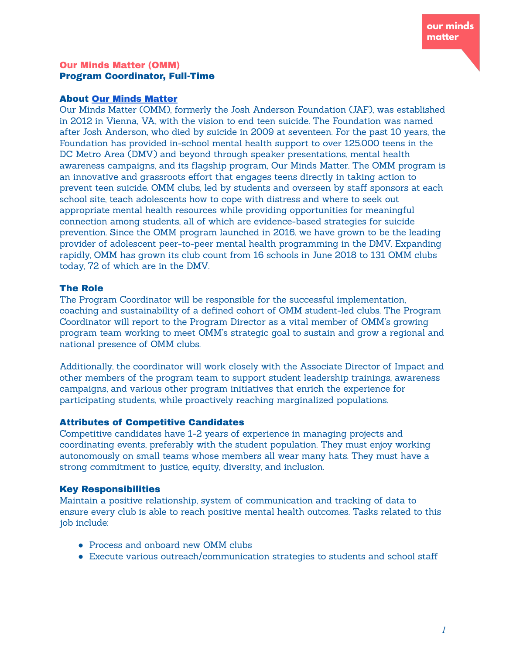#### Our Minds Matter (OMM) Program Coordinator, Full-Time

#### About Our Minds [Matter](https://ourmindsmatter.org/)

Our Minds Matter (OMM), formerly the Josh Anderson Foundation (JAF), was established in 2012 in Vienna, VA, with the vision to end teen suicide. The Foundation was named after Josh Anderson, who died by suicide in 2009 at seventeen. For the past 10 years, the Foundation has provided in-school mental health support to over 125,000 teens in the DC Metro Area (DMV) and beyond through speaker presentations, mental health awareness campaigns, and its flagship program, Our Minds Matter. The OMM program is an innovative and grassroots effort that engages teens directly in taking action to prevent teen suicide. OMM clubs, led by students and overseen by staff sponsors at each school site, teach adolescents how to cope with distress and where to seek out appropriate mental health resources while providing opportunities for meaningful connection among students, all of which are evidence-based strategies for suicide prevention. Since the OMM program launched in 2016, we have grown to be the leading provider of adolescent peer-to-peer mental health programming in the DMV. Expanding rapidly, OMM has grown its club count from 16 schools in June 2018 to 131 OMM clubs today, 72 of which are in the DMV.

### The Role

The Program Coordinator will be responsible for the successful implementation, coaching and sustainability of a defined cohort of OMM student-led clubs. The Program Coordinator will report to the Program Director as a vital member of OMM's growing program team working to meet OMM's strategic goal to sustain and grow a regional and national presence of OMM clubs.

Additionally, the coordinator will work closely with the Associate Director of Impact and other members of the program team to support student leadership trainings, awareness campaigns, and various other program initiatives that enrich the experience for participating students, while proactively reaching marginalized populations.

### Attributes of Competitive Candidates

Competitive candidates have 1-2 years of experience in managing projects and coordinating events, preferably with the student population. They must enjoy working autonomously on small teams whose members all wear many hats. They must have a strong commitment to justice, equity, diversity, and inclusion.

### Key Responsibilities

Maintain a positive relationship, system of communication and tracking of data to ensure every club is able to reach positive mental health outcomes. Tasks related to this job include:

- Process and onboard new OMM clubs
- Execute various outreach/communication strategies to students and school staff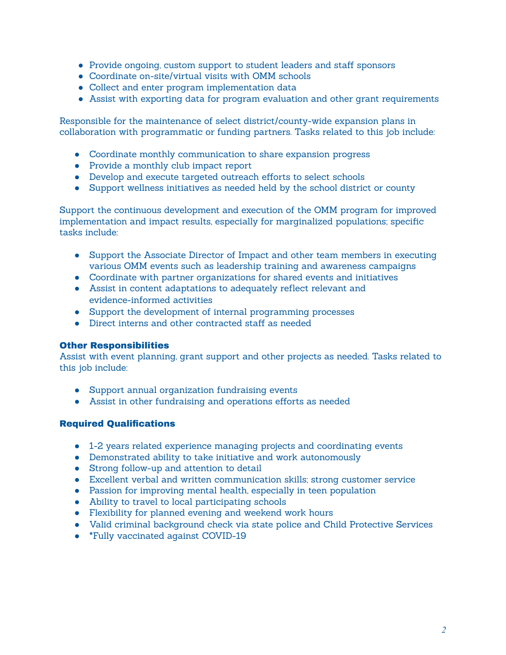- Provide ongoing, custom support to student leaders and staff sponsors
- Coordinate on-site/virtual visits with OMM schools
- Collect and enter program implementation data
- Assist with exporting data for program evaluation and other grant requirements

Responsible for the maintenance of select district/county-wide expansion plans in collaboration with programmatic or funding partners. Tasks related to this job include:

- Coordinate monthly communication to share expansion progress
- Provide a monthly club impact report
- Develop and execute targeted outreach efforts to select schools
- Support wellness initiatives as needed held by the school district or county

Support the continuous development and execution of the OMM program for improved implementation and impact results, especially for marginalized populations; specific tasks include:

- Support the Associate Director of Impact and other team members in executing various OMM events such as leadership training and awareness campaigns
- Coordinate with partner organizations for shared events and initiatives
- Assist in content adaptations to adequately reflect relevant and evidence-informed activities
- Support the development of internal programming processes
- Direct interns and other contracted staff as needed

### Other Responsibilities

Assist with event planning, grant support and other projects as needed. Tasks related to this job include:

- Support annual organization fundraising events
- Assist in other fundraising and operations efforts as needed

### Required Qualifications

- 1-2 years related experience managing projects and coordinating events
- Demonstrated ability to take initiative and work autonomously
- Strong follow-up and attention to detail
- Excellent verbal and written communication skills; strong customer service
- Passion for improving mental health, especially in teen population
- Ability to travel to local participating schools
- Flexibility for planned evening and weekend work hours
- Valid criminal background check via state police and Child Protective Services
- \*Fully vaccinated against COVID-19